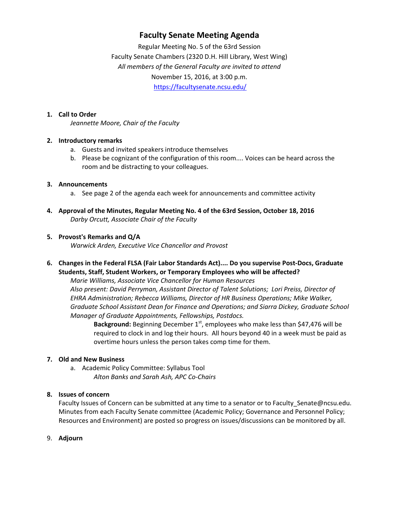# **Faculty Senate Meeting Agenda**

Regular Meeting No. 5 of the 63rd Session Faculty Senate Chambers (2320 D.H. Hill Library, West Wing) *All members of the General Faculty are invited to attend* November 15, 2016, at 3:00 p.m. https://facultysenate.ncsu.edu/

#### **1. Call to Order**

*Jeannette Moore, Chair of the Faculty*

#### **2. Introductory remarks**

- a. Guests and invited speakers introduce themselves
- b. Please be cognizant of the configuration of this room.... Voices can be heard across the room and be distracting to your colleagues.

#### **3. Announcements**

- a. See page 2 of the agenda each week for announcements and committee activity
- **4. Approval of the Minutes, Regular Meeting No. 4 of the 63rd Session, October 18, 2016** *Darby Orcutt, Associate Chair of the Faculty*

#### **5. Provost's Remarks and Q/A**

*Warwick Arden, Executive Vice Chancellor and Provost*

**6. Changes in the Federal FLSA (Fair Labor Standards Act).... Do you supervise Post‐Docs, Graduate Students, Staff, Student Workers, or Temporary Employees who will be affected?**

*Marie Williams, Associate Vice Chancellor for Human Resources Also present: David Perryman, Assistant Director of Talent Solutions; Lori Preiss, Director of EHRA Administration; Rebecca Williams, Director of HR Business Operations; Mike Walker, Graduate School Assistant Dean for Finance and Operations; and Siarra Dickey, Graduate School Manager of Graduate Appointments, Fellowships, Postdocs.*

**Background:** Beginning December 1<sup>st</sup>, employees who make less than \$47,476 will be required to clock in and log their hours. All hours beyond 40 in a week must be paid as overtime hours unless the person takes comp time for them.

# **7. Old and New Business**

a. Academic Policy Committee: Syllabus Tool *Alton Banks and Sarah Ash, APC Co‐Chairs*

# **8. Issues of concern**

Faculty Issues of Concern can be submitted at any time to a senator or to Faculty\_Senate@ncsu.edu. Minutes from each Faculty Senate committee (Academic Policy; Governance and Personnel Policy; Resources and Environment) are posted so progress on issues/discussions can be monitored by all.

9. **Adjourn**